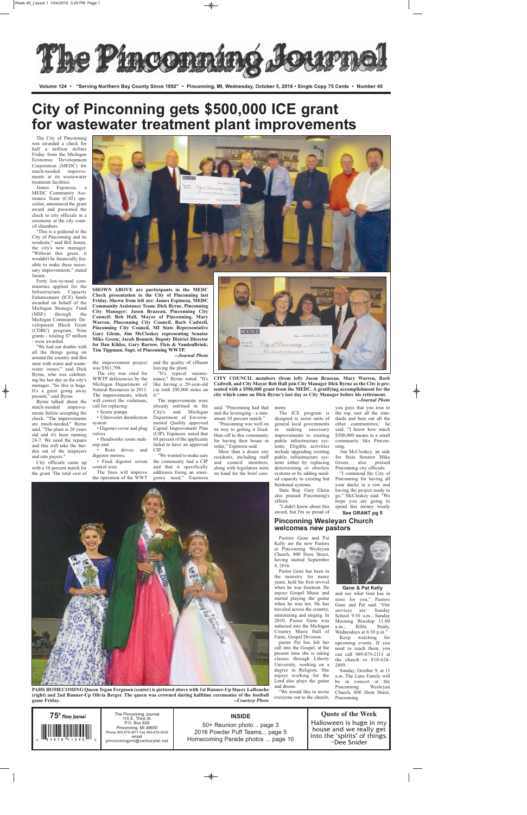The City of Pinconning was awarded a check for half a million dollars Friday from the Michigan Economic Development Corporation (MEDC) for much-needed improvements at its wastewater treatment facilities.

James Espinoza, MEDC Community Assistance Team (CAT) specialist, announced the grant award and presented the check to city officials in a ceremony at the city council chambers.

"This is a godsend to the City of Pinconning and its residents," said Bill Jasura, the city's new manager. "Without this grant, it wouldn't be financially feasible to make these necessary improvements," stated Jasura.

Forty low-to-mod communities applied for the Infrastructure Capacity Enhancement (ICE) funds awarded on behalf of the Michigan Strategic Fund (MSF) through the Michigan Community Development Block Grant (CDBC) program. Nine grants - totaling \$7 million - were awarded.

"We had our doubts with all the things going on around the country and this state with water and wastewater issues," said Dick Byrne, who was celebrating his last day as the city's manager. "So this is huge. It's a great going away present," said Byrne.

♦

Byrne talked about the much-needed improvements before accepting the check. "The improvements are much-needed," Byrne said. "The plant is 20 years old and it's been running 24-7. We need the repairs and this will take the burden out of the taxpayers and rate payers."

City officials came up with a 10 percent match for the grant. The total cost of



was \$561,798.

The city was cited for WWTP deficiencies by the Michigan Department of Natural Resources in 2013. The improvements, which will correct the violations, call for replacing:

• Screw pumps • Ultraviolet disinfection system

• Digester cover and plug valves

• Headworks room makeup unit • Roto drives and digestor motors;

• Final digester scrum control weir. The fixes will improve

the operation of the WWT

nance," Byrne noted. "It's like having a 20-year-old car with 200,000 miles on it." The improvements were

already outlined in the City's and Michigan Department of Environmental Quality approved Capital Improvement Plan (CIP). Espinoza noted that 60 percent of the applicants failed to have an approved CIP.

> School 9:30 a.m.; Sunday Morning Worship 11:00<br>a.m.; Bible Study, a.m.; Bible Study, Wednesdays at 6:30 p.m." Keep watching for upcoming events. If you need to reach them, you can call 989-879-2113 at the church or 810-624- Sunday, October 9, at 11 a.m. The Lane Family will be in concert at the Pinconning Wesleyan

"We wanted to make sure the community had a CIP and that it specifically addresses fixing an emergency need," Espinoza

said. "Pinconning had that mony. and the leveraging - a minimum 10 percent match."

 $M|E|D|C$ 

"Pinconning was well on its way to getting it fixed. Hats off to this community for having their house in order," Espinoza said.

More than a dozen city residents, including staff and council members, along with legislators were on hand for the brief cereThe ICE program is

designed to assist units of general local governments in making necessary improvements to existing public infrastructure systems. Eligible activities include upgrading existing public infrastructure systems either by replacing deteriorating or obsolete systems or by adding need-

ed capacity to existing but burdened systems. State Rep. Gary Glenn also praised Pinconning's efforts.

"I didn't know about this award, but I'm so proud of

you guys that you rose to the top, met all the standards and beat out all the other communities,' he said. "I know how much \$500,000 means to a small community like Pinconning.

Jim McCloskey, an aide for State Senator Mike Green, also praised Pinconning city officials.

"I commend the City of Pinconning for having all your ducks in a row and having the project ready to go," McCloskey said. "We hope you are going to spend this money wisely

Pastors Gene and Pat



Kelly are the new Pastors at Pinconning Wesleyan Church, 800 Horn Street, having started September 4, 2016.

the improvement project and the quality of effluent leaving the plant. "It's typical mainte-*--Journal Photo*

> Pastor Gene has been in the ministry for many years, held his first revival when he was fourteen. He enjoys Gospel Music and



started playing the guitar when he was ten. He has traveled across the country, ministering and singing. In 2010, Pastor Gene was inducted into the Michigan Country Music Hall of Fame, Gospel Division. pastor Pat has felt her call into the Gospel, at the present time she is taking classes through Liberty University, working on a degree in Religion. She enjoys working for the Lord also plays the guitar and drums. store foi Gene and Pat said. "Our services are: Sunday 2889.

"We would like to invite everyone out to the church,

and see what God has in



Church, 800 Horn Street, Pinconning.

**Volume 124 • "Serving Northern Bay County Since 1892" • Pinconning, MI, Wednesday, October 5, 2016 • Single Copy 75 Cents • Number 40**

| $75^{\circ}$ Pinny Journal | The Pinconning Journal<br>110 E. Third St.<br>P.O. Box 626<br>Pinconning, MI 48650<br>Phone 989-879-3811 Fax 989-879-5529<br>email<br>pinconningirnl@centurytel.net | <b>INSIDE</b><br>50+ Reunion photo  page 3<br>2016 Powder Puff Teams page 5<br>Homecoming Parade photos  page 10 | <b>Quote of the Week</b><br>Halloween is huge in my<br>house and we really get<br>into the "spirits" of things.<br>$\sim$ Dee Snider |
|----------------------------|---------------------------------------------------------------------------------------------------------------------------------------------------------------------|------------------------------------------------------------------------------------------------------------------|--------------------------------------------------------------------------------------------------------------------------------------|
|----------------------------|---------------------------------------------------------------------------------------------------------------------------------------------------------------------|------------------------------------------------------------------------------------------------------------------|--------------------------------------------------------------------------------------------------------------------------------------|

 $\bigcirc$ 

## **City of Pinconning gets \$500,000 ICE grant for wastewater treatment plant improvements**

### **Pinconning Wesleyan Church welcomes new pastors**

**SHOWN ABOVE are participants in the MEDC Check presentation to the City of Pinconning last Friday. Shown from left are: James Espinoza, MEDC Community Assistance Team; Dick Byrne, Pinconning City Manager; Jason Brazeau, Pinconning City Council; Bob Hall, Mayor of Pinconning, Mary Warren, Pinconning City Council, Barb Cadwell, Pinconning City Council, MI State Representative Gary Glenn, Jim McCloskey representing Senator Mike Green; Jacob Bennett, Deputy District Director for Dan Kildee, Gary Bartow, Fleis & VandenBrink; Tim Tippman, Supt. of Pinconning WWTP.**

> **CITY COUNCIL members (from left) Jason Brazeau, Mary Warren, Barb Cadwell, and City Mayor Bob Hall join City Manager Dick Byrne as the City is presented with a \$500,000 grant from the MEDC. A gratifying accomplishment for the**

City of Pinconning

**city which came on Dick Byrne's last day as City Manager before his retirement.** *--Journal Photo* ◈

**PAHS HOMECOMING Queen Tegan Ferguson (center) is pictured above with 1st Runner-Up Stacey LaRouche (right) and 2nd Runner-Up Olivia Berger. The queen was crowned during halftime ceremonies of the football game Friday.** *--Courtesy Photo*

**See GRANT pg 5**

**Gene & Pat Kelly**